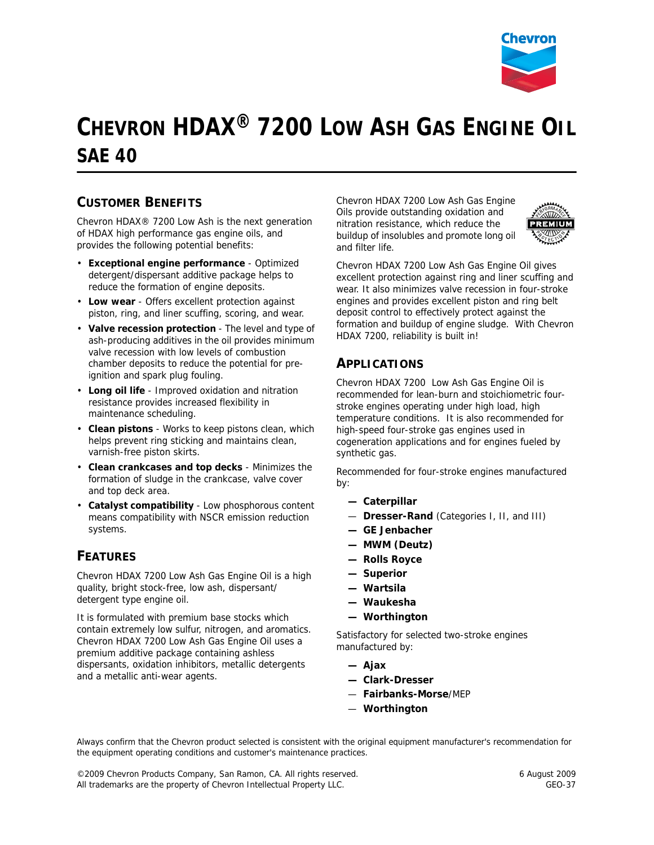

# **CHEVRON HDAX® 7200 LOW ASH GAS ENGINE OIL SAE 40**

## **CUSTOMER BENEFITS**

Chevron HDAX® 7200 Low Ash is the next generation of HDAX high performance gas engine oils, and provides the following potential benefits:

- **Exceptional engine performance** Optimized detergent/dispersant additive package helps to reduce the formation of engine deposits.
- **Low wear** Offers excellent protection against piston, ring, and liner scuffing, scoring, and wear.
- **Valve recession protection** The level and type of ash-producing additives in the oil provides minimum valve recession with low levels of combustion chamber deposits to reduce the potential for preignition and spark plug fouling.
- **Long oil life** Improved oxidation and nitration resistance provides increased flexibility in maintenance scheduling.
- **Clean pistons** Works to keep pistons clean, which helps prevent ring sticking and maintains clean, varnish-free piston skirts.
- **Clean crankcases and top decks** Minimizes the formation of sludge in the crankcase, valve cover and top deck area.
- **Catalyst compatibility** Low phosphorous content means compatibility with NSCR emission reduction systems.

#### **FEATURES**

Chevron HDAX 7200 Low Ash Gas Engine Oil is a high quality, bright stock-free, low ash, dispersant/ detergent type engine oil.

It is formulated with premium base stocks which contain extremely low sulfur, nitrogen, and aromatics. Chevron HDAX 7200 Low Ash Gas Engine Oil uses a premium additive package containing ashless dispersants, oxidation inhibitors, metallic detergents and a metallic anti-wear agents.

Chevron HDAX 7200 Low Ash Gas Engine Oils provide outstanding oxidation and nitration resistance, which reduce the buildup of insolubles and promote long oil and filter life.



Chevron HDAX 7200 Low Ash Gas Engine Oil gives excellent protection against ring and liner scuffing and wear. It also minimizes valve recession in four-stroke engines and provides excellent piston and ring belt deposit control to effectively protect against the formation and buildup of engine sludge. With Chevron HDAX 7200, reliability is built in!

## **APPLICATIONS**

Chevron HDAX 7200 Low Ash Gas Engine Oil is recommended for lean-burn and stoichiometric fourstroke engines operating under high load, high temperature conditions. It is also recommended for high-speed four-stroke gas engines used in cogeneration applications and for engines fueled by synthetic gas.

Recommended for four-stroke engines manufactured by:

- **Caterpillar**
- **Dresser-Rand** (Categories I, II, and III)
- **GE Jenbacher**
- **MWM (Deutz)**
- **Rolls Royce**
- **Superior**
- **Wartsila**
- **Waukesha**
- **Worthington**

Satisfactory for selected two-stroke engines manufactured by:

- **Ajax**
- **Clark-Dresser**
- **Fairbanks-Morse**/MEP
- **Worthington**

Always confirm that the Chevron product selected is consistent with the original equipment manufacturer's recommendation for the equipment operating conditions and customer's maintenance practices.

©2009 Chevron Products Company, San Ramon, CA. All rights reserved. 6 August 2009 All trademarks are the property of Chevron Intellectual Property LLC. The contract of CEO-37 GEO-37